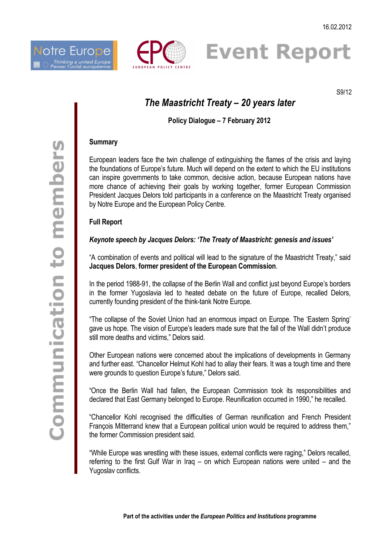





S9/12

# *The Maastricht Treaty – 20 years later*

# **Policy Dialogue – 7 February 2012**

#### **Summary**

European leaders face the twin challenge of extinguishing the flames of the crisis and laying the foundations of Europe's future. Much will depend on the extent to which the EU institutions can inspire governments to take common, decisive action, because European nations have more chance of achieving their goals by working together, former European Commission President Jacques Delors told participants in a conference on the Maastricht Treaty organised by Notre Europe and the European Policy Centre.

## **Full Report**

## *Keynote speech by Jacques Delors: 'The Treaty of Maastricht: genesis and issues'*

"A combination of events and political will lead to the signature of the Maastricht Treaty," said **Jacques Delors**, **former president of the European Commission**.

In the period 1988-91, the collapse of the Berlin Wall and conflict just beyond Europe's borders in the former Yugoslavia led to heated debate on the future of Europe, recalled Delors, currently founding president of the think-tank Notre Europe.

"The collapse of the Soviet Union had an enormous impact on Europe. The 'Eastern Spring' gave us hope. The vision of Europe's leaders made sure that the fall of the Wall didn't produce still more deaths and victims," Delors said.

Other European nations were concerned about the implications of developments in Germany and further east. "Chancellor Helmut Kohl had to allay their fears. It was a tough time and there were grounds to question Europe's future," Delors said.

"Once the Berlin Wall had fallen, the European Commission took its responsibilities and declared that East Germany belonged to Europe. Reunification occurred in 1990," he recalled.

"Chancellor Kohl recognised the difficulties of German reunification and French President François Mitterrand knew that a European political union would be required to address them," the former Commission president said.

"While Europe was wrestling with these issues, external conflicts were raging," Delors recalled, referring to the first Gulf War in Iraq – on which European nations were united – and the Yugoslav conflicts.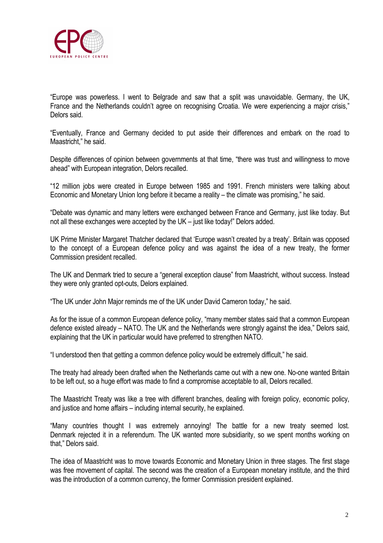

"Europe was powerless. I went to Belgrade and saw that a split was unavoidable. Germany, the UK, France and the Netherlands couldn't agree on recognising Croatia. We were experiencing a major crisis," Delors said.

"Eventually, France and Germany decided to put aside their differences and embark on the road to Maastricht," he said.

Despite differences of opinion between governments at that time, "there was trust and willingness to move ahead" with European integration, Delors recalled.

"12 million jobs were created in Europe between 1985 and 1991. French ministers were talking about Economic and Monetary Union long before it became a reality – the climate was promising," he said.

"Debate was dynamic and many letters were exchanged between France and Germany, just like today. But not all these exchanges were accepted by the UK – just like today!" Delors added.

UK Prime Minister Margaret Thatcher declared that 'Europe wasn't created by a treaty'. Britain was opposed to the concept of a European defence policy and was against the idea of a new treaty, the former Commission president recalled.

The UK and Denmark tried to secure a "general exception clause" from Maastricht, without success. Instead they were only granted opt-outs, Delors explained.

"The UK under John Major reminds me of the UK under David Cameron today," he said.

As for the issue of a common European defence policy, "many member states said that a common European defence existed already – NATO. The UK and the Netherlands were strongly against the idea," Delors said, explaining that the UK in particular would have preferred to strengthen NATO.

"I understood then that getting a common defence policy would be extremely difficult," he said.

The treaty had already been drafted when the Netherlands came out with a new one. No-one wanted Britain to be left out, so a huge effort was made to find a compromise acceptable to all, Delors recalled.

The Maastricht Treaty was like a tree with different branches, dealing with foreign policy, economic policy, and justice and home affairs – including internal security, he explained.

"Many countries thought I was extremely annoying! The battle for a new treaty seemed lost. Denmark rejected it in a referendum. The UK wanted more subsidiarity, so we spent months working on that." Delors said.

The idea of Maastricht was to move towards Economic and Monetary Union in three stages. The first stage was free movement of capital. The second was the creation of a European monetary institute, and the third was the introduction of a common currency, the former Commission president explained.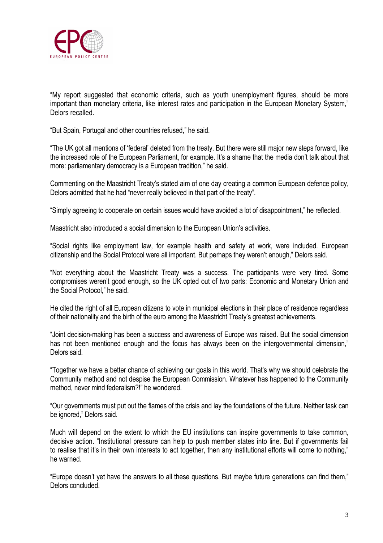

"My report suggested that economic criteria, such as youth unemployment figures, should be more important than monetary criteria, like interest rates and participation in the European Monetary System," Delors recalled.

"But Spain, Portugal and other countries refused," he said.

"The UK got all mentions of 'federal' deleted from the treaty. But there were still major new steps forward, like the increased role of the European Parliament, for example. It's a shame that the media don't talk about that more: parliamentary democracy is a European tradition," he said.

Commenting on the Maastricht Treaty's stated aim of one day creating a common European defence policy, Delors admitted that he had "never really believed in that part of the treaty".

"Simply agreeing to cooperate on certain issues would have avoided a lot of disappointment," he reflected.

Maastricht also introduced a social dimension to the European Union's activities.

"Social rights like employment law, for example health and safety at work, were included. European citizenship and the Social Protocol were all important. But perhaps they weren't enough," Delors said.

"Not everything about the Maastricht Treaty was a success. The participants were very tired. Some compromises weren't good enough, so the UK opted out of two parts: Economic and Monetary Union and the Social Protocol," he said.

He cited the right of all European citizens to vote in municipal elections in their place of residence regardless of their nationality and the birth of the euro among the Maastricht Treaty's greatest achievements.

"Joint decision-making has been a success and awareness of Europe was raised. But the social dimension has not been mentioned enough and the focus has always been on the intergovernmental dimension," Delors said.

"Together we have a better chance of achieving our goals in this world. That's why we should celebrate the Community method and not despise the European Commission. Whatever has happened to the Community method, never mind federalism?!" he wondered.

"Our governments must put out the flames of the crisis and lay the foundations of the future. Neither task can be ignored," Delors said.

Much will depend on the extent to which the EU institutions can inspire governments to take common, decisive action. "Institutional pressure can help to push member states into line. But if governments fail to realise that it's in their own interests to act together, then any institutional efforts will come to nothing." he warned.

"Europe doesn't yet have the answers to all these questions. But maybe future generations can find them," Delors concluded.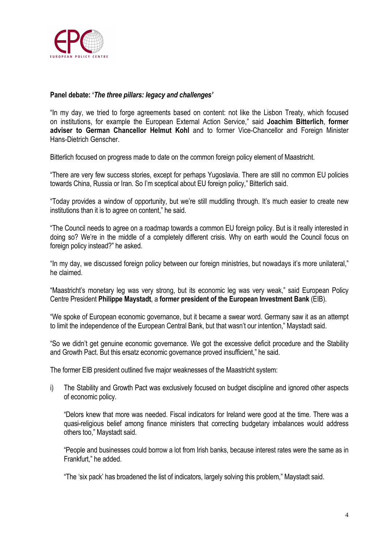

### **Panel debate: '***The three pillars: legacy and challenges'*

"In my day, we tried to forge agreements based on content: not like the Lisbon Treaty, which focused on institutions, for example the European External Action Service," said **Joachim Bitterlich**, **former adviser to German Chancellor Helmut Kohl** and to former Vice-Chancellor and Foreign Minister Hans-Dietrich Genscher.

Bitterlich focused on progress made to date on the common foreign policy element of Maastricht.

"There are very few success stories, except for perhaps Yugoslavia. There are still no common EU policies towards China, Russia or Iran. So I'm sceptical about EU foreign policy," Bitterlich said.

"Today provides a window of opportunity, but we're still muddling through. It's much easier to create new institutions than it is to agree on content," he said.

"The Council needs to agree on a roadmap towards a common EU foreign policy. But is it really interested in doing so? We're in the middle of a completely different crisis. Why on earth would the Council focus on foreign policy instead?" he asked.

"In my day, we discussed foreign policy between our foreign ministries, but nowadays it's more unilateral," he claimed.

"Maastricht's monetary leg was very strong, but its economic leg was very weak," said European Policy Centre President **Philippe Maystadt**, a **former president of the European Investment Bank** (EIB).

"We spoke of European economic governance, but it became a swear word. Germany saw it as an attempt to limit the independence of the European Central Bank, but that wasn't our intention," Maystadt said.

"So we didn't get genuine economic governance. We got the excessive deficit procedure and the Stability and Growth Pact. But this ersatz economic governance proved insufficient," he said.

The former EIB president outlined five major weaknesses of the Maastricht system:

i) The Stability and Growth Pact was exclusively focused on budget discipline and ignored other aspects of economic policy.

"Delors knew that more was needed. Fiscal indicators for Ireland were good at the time. There was a quasi-religious belief among finance ministers that correcting budgetary imbalances would address others too," Maystadt said.

"People and businesses could borrow a lot from Irish banks, because interest rates were the same as in Frankfurt," he added.

"The 'six pack' has broadened the list of indicators, largely solving this problem," Maystadt said.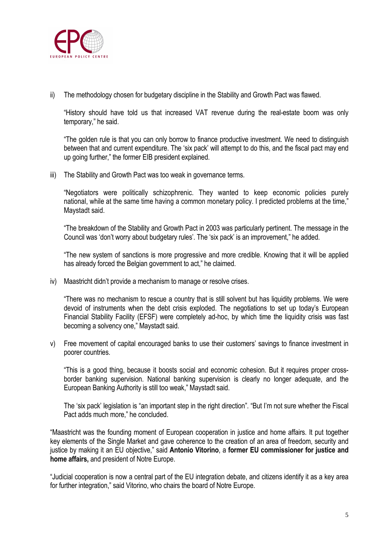

ii) The methodology chosen for budgetary discipline in the Stability and Growth Pact was flawed.

"History should have told us that increased VAT revenue during the real-estate boom was only temporary," he said.

"The golden rule is that you can only borrow to finance productive investment. We need to distinguish between that and current expenditure. The 'six pack' will attempt to do this, and the fiscal pact may end up going further," the former EIB president explained.

iii) The Stability and Growth Pact was too weak in governance terms.

"Negotiators were politically schizophrenic. They wanted to keep economic policies purely national, while at the same time having a common monetary policy. I predicted problems at the time," Maystadt said.

"The breakdown of the Stability and Growth Pact in 2003 was particularly pertinent. The message in the Council was 'don't worry about budgetary rules'. The 'six pack' is an improvement," he added.

"The new system of sanctions is more progressive and more credible. Knowing that it will be applied has already forced the Belgian government to act," he claimed.

iv) Maastricht didn't provide a mechanism to manage or resolve crises.

"There was no mechanism to rescue a country that is still solvent but has liquidity problems. We were devoid of instruments when the debt crisis exploded. The negotiations to set up today's European Financial Stability Facility (EFSF) were completely ad-hoc, by which time the liquidity crisis was fast becoming a solvency one," Maystadt said.

v) Free movement of capital encouraged banks to use their customers' savings to finance investment in poorer countries.

"This is a good thing, because it boosts social and economic cohesion. But it requires proper crossborder banking supervision. National banking supervision is clearly no longer adequate, and the European Banking Authority is still too weak," Maystadt said.

The 'six pack' legislation is "an important step in the right direction". "But I'm not sure whether the Fiscal Pact adds much more," he concluded.

"Maastricht was the founding moment of European cooperation in justice and home affairs. It put together key elements of the Single Market and gave coherence to the creation of an area of freedom, security and justice by making it an EU objective," said **Antonio Vitorino**, a **former EU commissioner for justice and home affairs,** and president of Notre Europe.

"Judicial cooperation is now a central part of the EU integration debate, and citizens identify it as a key area for further integration," said Vitorino, who chairs the board of Notre Europe.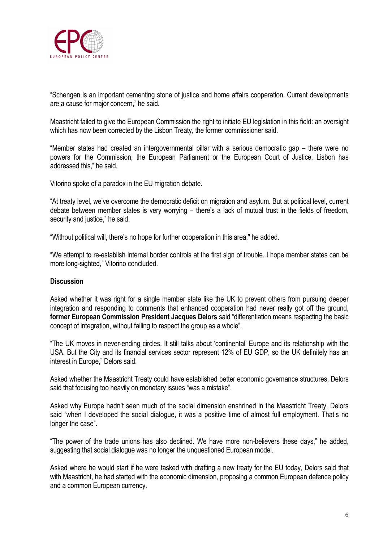

"Schengen is an important cementing stone of justice and home affairs cooperation. Current developments are a cause for major concern," he said.

Maastricht failed to give the European Commission the right to initiate EU legislation in this field: an oversight which has now been corrected by the Lisbon Treaty, the former commissioner said.

"Member states had created an intergovernmental pillar with a serious democratic gap – there were no powers for the Commission, the European Parliament or the European Court of Justice. Lisbon has addressed this," he said.

Vitorino spoke of a paradox in the EU migration debate.

"At treaty level, we've overcome the democratic deficit on migration and asylum. But at political level, current debate between member states is very worrying – there's a lack of mutual trust in the fields of freedom, security and justice," he said.

"Without political will, there's no hope for further cooperation in this area," he added.

"We attempt to re-establish internal border controls at the first sign of trouble. I hope member states can be more long-sighted," Vitorino concluded.

#### **Discussion**

Asked whether it was right for a single member state like the UK to prevent others from pursuing deeper integration and responding to comments that enhanced cooperation had never really got off the ground, **former European Commission President Jacques Delors** said "differentiation means respecting the basic concept of integration, without failing to respect the group as a whole".

"The UK moves in never-ending circles. It still talks about 'continental' Europe and its relationship with the USA. But the City and its financial services sector represent 12% of EU GDP, so the UK definitely has an interest in Europe," Delors said.

Asked whether the Maastricht Treaty could have established better economic governance structures, Delors said that focusing too heavily on monetary issues "was a mistake".

Asked why Europe hadn't seen much of the social dimension enshrined in the Maastricht Treaty, Delors said "when I developed the social dialogue, it was a positive time of almost full employment. That's no longer the case".

"The power of the trade unions has also declined. We have more non-believers these days," he added, suggesting that social dialogue was no longer the unquestioned European model.

Asked where he would start if he were tasked with drafting a new treaty for the EU today, Delors said that with Maastricht, he had started with the economic dimension, proposing a common European defence policy and a common European currency.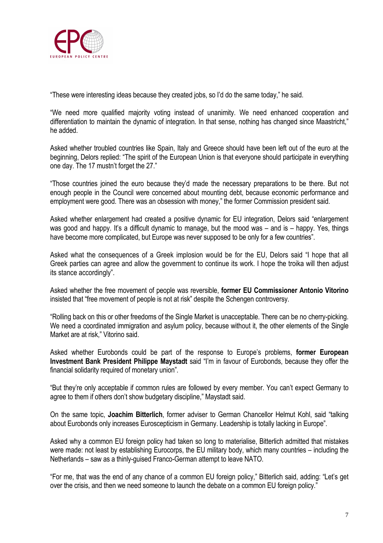

"These were interesting ideas because they created jobs, so I'd do the same today," he said.

"We need more qualified majority voting instead of unanimity. We need enhanced cooperation and differentiation to maintain the dynamic of integration. In that sense, nothing has changed since Maastricht," he added.

Asked whether troubled countries like Spain, Italy and Greece should have been left out of the euro at the beginning, Delors replied: "The spirit of the European Union is that everyone should participate in everything one day. The 17 mustn't forget the 27."

"Those countries joined the euro because they'd made the necessary preparations to be there. But not enough people in the Council were concerned about mounting debt, because economic performance and employment were good. There was an obsession with money," the former Commission president said.

Asked whether enlargement had created a positive dynamic for EU integration, Delors said "enlargement was good and happy. It's a difficult dynamic to manage, but the mood was – and is – happy. Yes, things have become more complicated, but Europe was never supposed to be only for a few countries".

Asked what the consequences of a Greek implosion would be for the EU, Delors said "I hope that all Greek parties can agree and allow the government to continue its work. I hope the troika will then adjust its stance accordingly".

Asked whether the free movement of people was reversible, **former EU Commissioner Antonio Vitorino** insisted that "free movement of people is not at risk" despite the Schengen controversy.

"Rolling back on this or other freedoms of the Single Market is unacceptable. There can be no cherry-picking. We need a coordinated immigration and asylum policy, because without it, the other elements of the Single Market are at risk," Vitorino said.

Asked whether Eurobonds could be part of the response to Europe's problems, **former European Investment Bank President Philippe Maystadt** said "I'm in favour of Eurobonds, because they offer the financial solidarity required of monetary union".

"But they're only acceptable if common rules are followed by every member. You can't expect Germany to agree to them if others don't show budgetary discipline," Maystadt said.

On the same topic, **Joachim Bitterlich**, former adviser to German Chancellor Helmut Kohl, said "talking about Eurobonds only increases Euroscepticism in Germany. Leadership is totally lacking in Europe".

Asked why a common EU foreign policy had taken so long to materialise, Bitterlich admitted that mistakes were made: not least by establishing Eurocorps, the EU military body, which many countries – including the Netherlands – saw as a thinly-guised Franco-German attempt to leave NATO.

"For me, that was the end of any chance of a common EU foreign policy," Bitterlich said, adding: "Let's get over the crisis, and then we need someone to launch the debate on a common EU foreign policy."